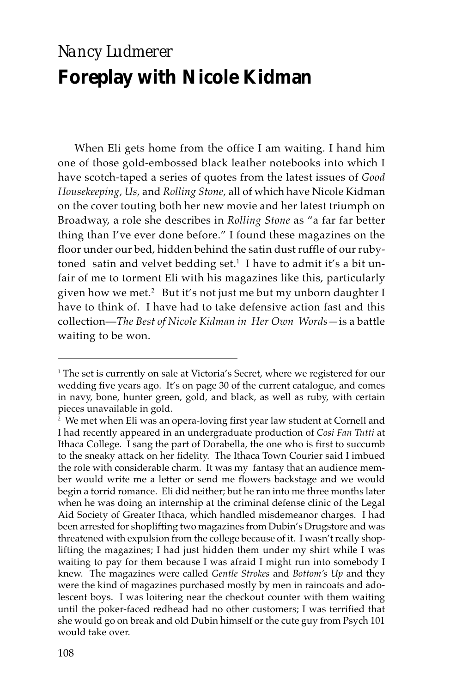## *Nancy Ludmerer* **Foreplay with Nicole Kidman**

When Eli gets home from the office I am waiting. I hand him one of those gold-embossed black leather notebooks into which I have scotch-taped a series of quotes from the latest issues of *Good Housekeeping, Us,* and *Rolling Stone,* all of which have Nicole Kidman on the cover touting both her new movie and her latest triumph on Broadway, a role she describes in *Rolling Stone* as "a far far better thing than I've ever done before." I found these magazines on the floor under our bed, hidden behind the satin dust ruffle of our rubytoned satin and velvet bedding set.<sup>1</sup> I have to admit it's a bit unfair of me to torment Eli with his magazines like this, particularly given how we met.<sup>2</sup> But it's not just me but my unborn daughter I have to think of. I have had to take defensive action fast and this collection—*The Best of Nicole Kidman in Her Own Words—*is a battle waiting to be won.

<sup>1</sup> The set is currently on sale at Victoria's Secret, where we registered for our wedding five years ago. It's on page 30 of the current catalogue, and comes in navy, bone, hunter green, gold, and black, as well as ruby, with certain pieces unavailable in gold.

<sup>2</sup> We met when Eli was an opera-loving first year law student at Cornell and I had recently appeared in an undergraduate production of *Cosi Fan Tutti* at Ithaca College. I sang the part of Dorabella, the one who is first to succumb to the sneaky attack on her fidelity. The Ithaca Town Courier said I imbued the role with considerable charm. It was my fantasy that an audience member would write me a letter or send me flowers backstage and we would begin a torrid romance. Eli did neither; but he ran into me three months later when he was doing an internship at the criminal defense clinic of the Legal Aid Society of Greater Ithaca, which handled misdemeanor charges. I had been arrested for shoplifting two magazines from Dubin's Drugstore and was threatened with expulsion from the college because of it. I wasn't really shoplifting the magazines; I had just hidden them under my shirt while I was waiting to pay for them because I was afraid I might run into somebody I knew. The magazines were called *Gentle Strokes* and *Bottom's Up* and they were the kind of magazines purchased mostly by men in raincoats and adolescent boys. I was loitering near the checkout counter with them waiting until the poker-faced redhead had no other customers; I was terrified that she would go on break and old Dubin himself or the cute guy from Psych 101 would take over.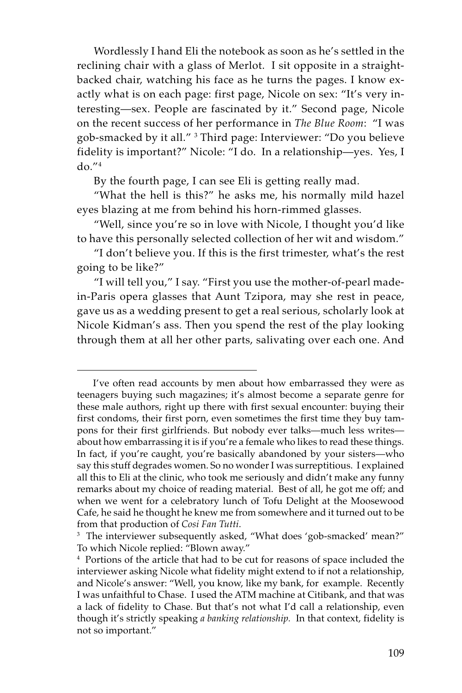Wordlessly I hand Eli the notebook as soon as he's settled in the reclining chair with a glass of Merlot. I sit opposite in a straightbacked chair, watching his face as he turns the pages. I know exactly what is on each page: first page, Nicole on sex: "It's very interesting—sex. People are fascinated by it." Second page, Nicole on the recent success of her performance in *The Blue Room*: "I was gob-smacked by it all." <sup>3</sup> Third page: Interviewer: "Do you believe fidelity is important?" Nicole: "I do. In a relationship—yes. Yes, I  $d\rho$ ." $4$ 

By the fourth page, I can see Eli is getting really mad.

"What the hell is this?" he asks me, his normally mild hazel eyes blazing at me from behind his horn-rimmed glasses.

"Well, since you're so in love with Nicole, I thought you'd like to have this personally selected collection of her wit and wisdom."

"I don't believe you. If this is the first trimester, what's the rest going to be like?"

"I will tell you," I say. "First you use the mother-of-pearl madein-Paris opera glasses that Aunt Tzipora, may she rest in peace, gave us as a wedding present to get a real serious, scholarly look at Nicole Kidman's ass. Then you spend the rest of the play looking through them at all her other parts, salivating over each one. And

I've often read accounts by men about how embarrassed they were as teenagers buying such magazines; it's almost become a separate genre for these male authors, right up there with first sexual encounter: buying their first condoms, their first porn, even sometimes the first time they buy tampons for their first girlfriends. But nobody ever talks—much less writes about how embarrassing it is if you're a female who likes to read these things. In fact, if you're caught, you're basically abandoned by your sisters—who say this stuff degrades women. So no wonder I was surreptitious. I explained all this to Eli at the clinic, who took me seriously and didn't make any funny remarks about my choice of reading material. Best of all, he got me off; and when we went for a celebratory lunch of Tofu Delight at the Moosewood Cafe, he said he thought he knew me from somewhere and it turned out to be from that production of *Cosi Fan Tutti*.

<sup>&</sup>lt;sup>3</sup> The interviewer subsequently asked, "What does 'gob-smacked' mean?" To which Nicole replied: "Blown away."

<sup>&</sup>lt;sup>4</sup> Portions of the article that had to be cut for reasons of space included the interviewer asking Nicole what fidelity might extend to if not a relationship, and Nicole's answer: "Well, you know, like my bank, for example. Recently I was unfaithful to Chase. I used the ATM machine at Citibank, and that was a lack of fidelity to Chase. But that's not what I'd call a relationship, even though it's strictly speaking *a banking relationship.* In that context, fidelity is not so important."